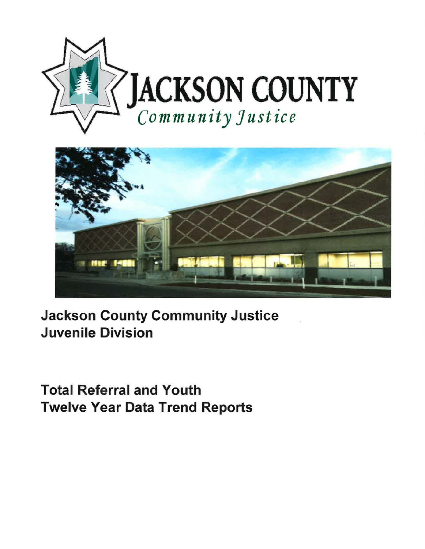



Jackson County Community Justice Juvenile Division

Total Referral and Youth Twelve Year Data Trend Reports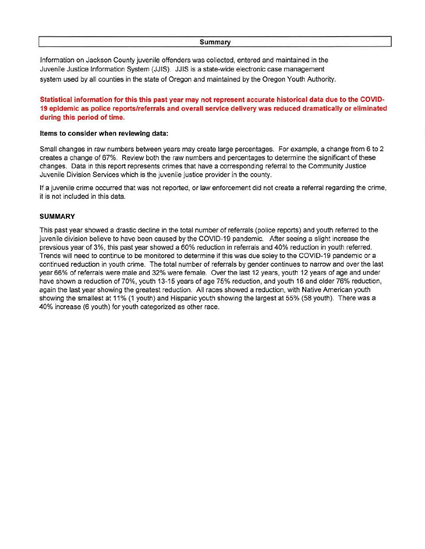## **Summary**

Information on Jackson County juvenile offenders was collected, entered and maintained in the Juvenile Justice Information System (JJIS). JJIS is a state-wide electronic case management system used by all counties in the state of Oregon and maintained by the Oregon Youth Authority.

## **Statistical information for this this past year may not represent accurate historical data due to the COVID-19 epidemic as police reports/referrals and overall service delivery was reduced dramatically or eliminated during this period of time.**

## **Items to consider when reviewing data:**

Small changes in raw numbers between years may create large percentages. For example, a change from 6 to 2 creates a change of 67%. Review both the raw numbers and percentages to determine the significant of these changes. Data in this report represents crimes that have a corresponding referral to the Community Justice Juvenile Division Services which is the juvenile justice provider in the county.

If a juvenile crime occurred that was not reported, or law enforcement did not create a referral regarding the crime, it is not included in this data.

## **SUMMARY**

This past year showed a drastic decline in the total number of referrals (police reports) and youth referred to the juvenile division believe to have been caused by the COVID-19 pandemic. After seeing a slight increase the prevsious year of 3%, this past year showed a 60% reduction in referrals and 40% reduction in youth referred. Trends will need to continue to be monitored to determine if this was due soley to the COVID-19 pandemic or a continued reduction in youth crime. The total number of referrals by gender continues to narrow and over the last year 66% of referrals were male and 32% were female. Over the last 12 years, youth 12 years of age and under have shown a reduction of 70%, youth 13-15 years of age 75% reduction, and youth 16 and older 76% reduction, again the last year showing the greatest reduction. All races showed a reduction, with Native American youth showing the smallest at 11% (1 youth) and Hispanic youth showing the largest at 55% (58 youth). There was a 40% increase (6 youth) for youth categorized as other race.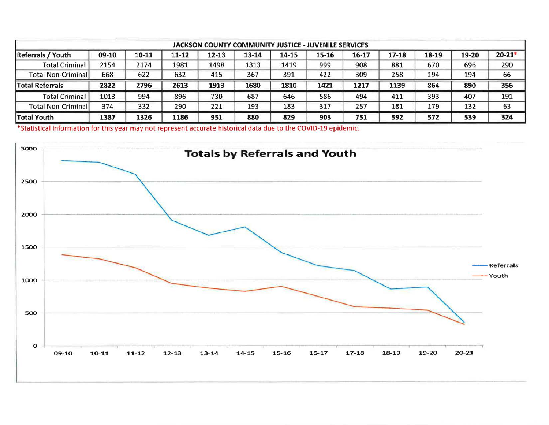| <b>JACKSON COUNTY COMMUNITY JUSTICE - JUVENILE SERVICES</b> |       |       |           |           |       |       |       |       |       |       |       |           |
|-------------------------------------------------------------|-------|-------|-----------|-----------|-------|-------|-------|-------|-------|-------|-------|-----------|
| <b>Referrals / Youth</b>                                    | 09-10 | 10-11 | $11 - 12$ | $12 - 13$ | 13-14 | 14-15 | 15-16 | 16-17 | 17-18 | 18-19 | 19-20 | $20 - 21$ |
| <b>Total Criminal</b>                                       | 2154  | 2174  | 1981      | 1498      | 1313  | 1419  | 999   | 908   | 881   | 670   | 696   | 290       |
| <b>Total Non-Criminal</b>                                   | 668   | 622   | 632       | 415       | 367   | 391   | 422   | 309   | 258   | 194   | 194   | 66        |
| <b>Total Referrals</b>                                      | 2822  | 2796  | 2613      | 1913      | 1680  | 1810  | 1421  | 1217  | 1139  | 864   | 890   | 356       |
| <b>Total Criminal</b>                                       | 1013  | 994   | 896       | 730       | 687   | 646   | 586   | 494   | 411   | 393   | 407   | 191       |
| <b>Total Non-Criminall</b>                                  | 374   | 332   | 290       | 221       | 193   | 183   | 317   | 257   | 181   | 179   | 132   | 63        |
| <b>Total Youth</b>                                          | 1387  | 1326  | 1186      | 951       | 880   | 829   | 903   | 751   | 592   | 572   | 539   | 324       |

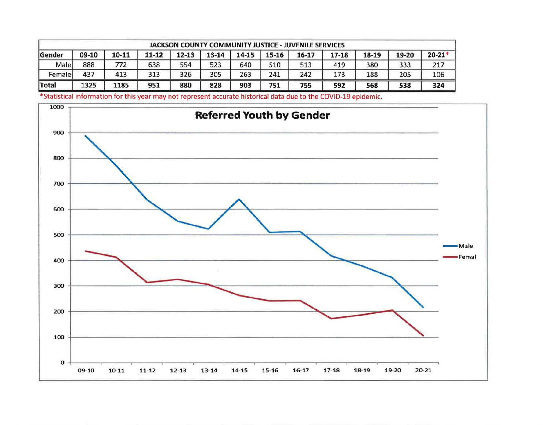| <b>JACKSON COUNTY COMMUNITY JUSTICE - JUVENILE SERVICES</b> |       |       |       |           |           |           |       |       |       |       |       |            |
|-------------------------------------------------------------|-------|-------|-------|-----------|-----------|-----------|-------|-------|-------|-------|-------|------------|
| <b>Sender</b>                                               | 09-10 | 10-11 | 11-12 | $12 - 13$ | $13 - 14$ | $14 - 15$ | 15-16 | 16-17 | 17-18 | 18-19 | 19-20 | $20 - 21*$ |
| Male                                                        | 888   | 772   | 638   | 554       | 523       | 640       | 510   | 513   | 419   | 380   | 333   | 217        |
| Female                                                      | 437   | 413   | 313   | 326       | 305       | 263       | 241   | 242   | 173   | 188   | 205   | 106        |
| Total                                                       | 1325  | 1185  | 951   | 880       | 828       | 903       | 751   | 755   | 592   | 568   | 538   | 324        |

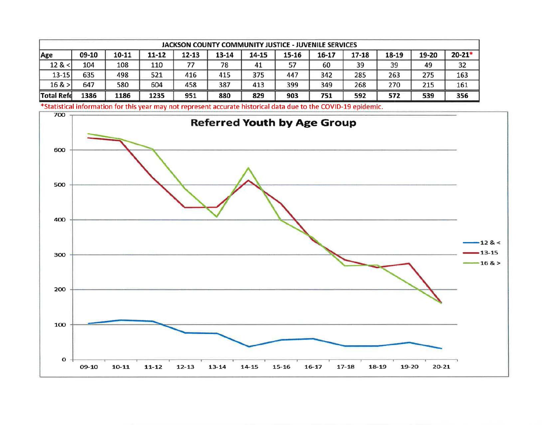| JACKSON COUNTY COMMUNITY JUSTICE - JUVENILE SERVICES |       |           |       |       |       |       |       |       |           |       |       |            |
|------------------------------------------------------|-------|-----------|-------|-------|-------|-------|-------|-------|-----------|-------|-------|------------|
| Age                                                  | 09-10 | $10 - 11$ | 11-12 | 12-13 | 13-14 | 14-15 | 15-16 | 16-17 | $17 - 18$ | 18-19 | 19-20 | $20 - 21'$ |
| 12 <                                                 | 104   | 108       | 110   |       | 78    | 41    |       | 60    | 39        | 39    | 49    | 32         |
| $13 - 15$                                            | 635   | 498       | 521   | 416   | 415   | 375   | 447   | 342   | 285       | 263   | 275   | 163        |
| 16 >                                                 | 647   | 580       | 604   | 458   | 387   | 413   | 399   | 349   | 268       | 270   | 215   | 161        |
| <b>Total Refe</b>                                    | 1386  | 1186      | 1235  | 951   | 880   | 829   | 903   | 751   | 592       | 572   | 539   | 356        |